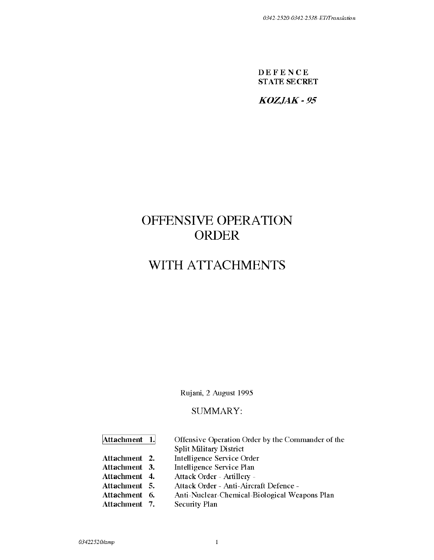**DEFENCE STATE SECRET** 

**KOZJAK-95** 

# **OFFENSIVE OPERATION ORDER**

# **WITH ATTACHMENTS**

Rujani, 2 August 1995

# SUMMARY:

**Attachment 1.** Offensive Operation Order by the Commander of the Split Military District

**Attachment 2.** Intelligence Service Order

**Attachment 3.** Intelligence Service Plan

**Attachment 4.** Attack Order - Artillery -

**Attachment** 5. Attack Order - Anti-Aircraft Defence -

**Attachment** 6. Anti-Nuclear-Chemical-Biological Weapons Plan

**Attachment** 7. Security Plan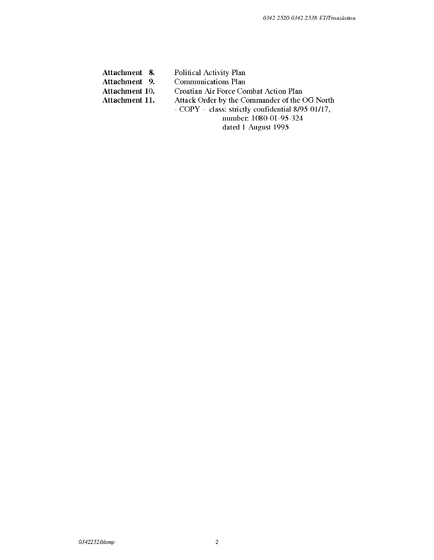| Attachment 8.  | Political Activity Plan                           |  |
|----------------|---------------------------------------------------|--|
| Attachment 9.  | <b>Communications Plan</b>                        |  |
| Attachment 10. | Croatian Air Force Combat Action Plan             |  |
| Attachment 11. | Attack Order by the Commander of the OG North     |  |
|                | - COPY - class: strictly confidential 8/95-01/17, |  |
|                | number: 1080-01-95-324                            |  |
|                | dated 1 August 1995                               |  |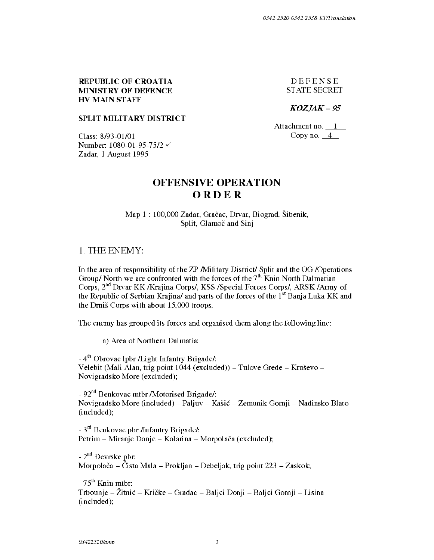## REPUBLIC OF CROATIA MINISTRY OF DEFENCE HV MAIN STAFF

DEFENSE ST ATE SECRET

*KOZJAK-95* 

## SPLIT MILITARY DISTRICT

Class: 8/93-01/01 Number: 1080-01-95-75/2  $\checkmark$ Zadar, 1 August 1995

Attachment no. \_l\_ Copy no.  $4$ 

# **OFFENSIVE OPERATION ORDER**

Map 1 : 100,000 Zadar, Gracac, Drvar, Biograd, Sibenik, Split, Glamoč and Sinj

## 1. THE ENEMY:

In the area of responsibility of the ZP /Military District/ Split and the OG /Operations Group/ North we are confronted with the forces of the  $7<sup>th</sup>$  Knin North Dalmatian Corps, 2<sup>nd</sup> Drvar KK /Krajina Corps/, KSS /Special Forces Corps/, ARSK /Army of the Republic of Serbian Krajina/ and parts of the forces of the  $1<sup>st</sup>$  Banja Luka KK and the Dmis Corps with about 15,000 troops.

The enemy has grouped its forces and organised them along the following line:

a) Area of Northern Dalmatia:

 $-4<sup>th</sup>$  Obrovac lpbr */Light Infantry Brigade/:* Velebit (Mali Alan, trig point  $1044$  (excluded)) – Tulove Grede – Kruševo – Novigradsko More (excluded);

- 92<sup>nd</sup> Benkovac mtbr /Motorised Brigade/: Novigradsko More (included) – Paljuv – Kašić – Zemunik Gornji – Nadinsko Blato (included);

 $-3<sup>rd</sup>$  Benkovac pbr /Infantry Brigade/: Petrim – Miranje Donje – Kolarina – Morpolača (excluded);

- 2nd Devrske pbr: Morpolača – Čista Mala – Prokljan – Debeljak, trig point 223 – Zaskok;

 $-75<sup>th</sup>$  Knin mtbr: Trbounje - Zitnic - Kricke - Gradac - Baljci Donji - Baljci Gomji - Lisina (included);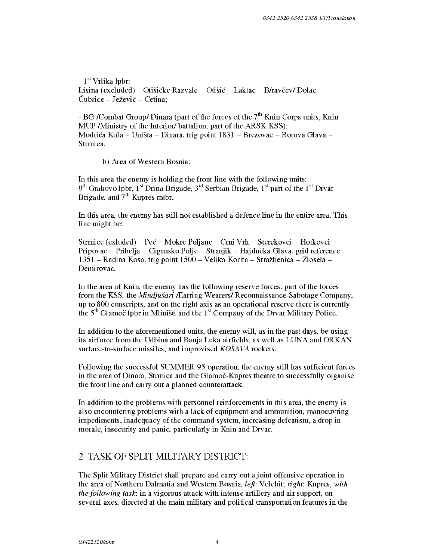$-1<sup>st</sup>$  Vrlika lpbr: Lisina (excluded) – Otišićke Razvale – Otišić – Laktac – B/ravčev/ Dolac – Ćubrice - Ježević - Cetina:

- BG /Combat Group/ Dinara (part of the forces of the  $7<sup>th</sup>$  Knin Corps units, Knin MUP /Ministry of the Interior/ battalion, part of the ARSK KSS): Modrica Kula - Unista - Dinara, trig point 1831 - Brezovac - Borova Glava - Strmica.

b) Area of Western Bosnia:

In this area the enemy is holding the front line with the following units:  $9<sup>th</sup>$  Grahovo lpbr,  $1<sup>st</sup>$  Drina Brigade,  $3<sup>rd</sup>$  Serbian Brigade,  $1<sup>st</sup>$  part of the  $1<sup>st</sup>$  Drvar Brigade, and  $7<sup>th</sup>$  Kupres mtbr.

In this area, the enemy has still not established a defence line in the entire area. This line might be:

Strmice ( exluded) –  $Pe\epsilon$  – Mokre Poljane – Crni Vrh – Sterekovci – Hotkovci – Pripovac - Pribelja - Cigansko Polje - Stranjik - Hajducka Glava, grid reference 1351 - Radina Kosa, trig point 1500- Velika Korita - Strazbenica - Zlosela - Demirovac.

In the area of Knin, the enemy has the following reserve forces: part of the forces from the KSS, the *Mindjufori* /Earring Wearers/ Reconnaissance-Sabotage Company, up to 800 conscripts, and on the right axis as an operational reserve there is currently the  $5<sup>th</sup>$  Glamoč lpbr in Mliništi and the  $1<sup>st</sup>$  Company of the Drvar Military Police.

In addition to the aforementioned units, the enemy will, as in the past days, be using its airforce from the Udbina and Banja Luka airfields, as well as LUNA and ORKAN surface-to-surface missiles, and improvised *KOSA VA* rockets.

Following the successful SUMMER-95 operation, the enemy still has sufficient forces in the area of Dinara, Strmica and the Glamoc-Kupres theatre to successfully organise the front line and carry out a planned counterattack.

In addition to the problems with personnel reinforcements in this area, the enemy is also encountering problems with a lack of equipment and ammunition, manoeuvring impediments, inadequacy of the command system, increasing defeatism, a drop in morale, insecurity and panic, particularly in Knin and Drvar.

# 2. TASK OF SPLIT MILITARY DISTRICT:

The Split Military District shall prepare and carry out a joint offensive operation in the area of Northern Dalmatia and Western Bosnia, *left:* Velebit; *right:* Kupres, *with the following task:* in a vigorous attack with intense artillery and air support, on several axes, directed at the main military and political transportation features in the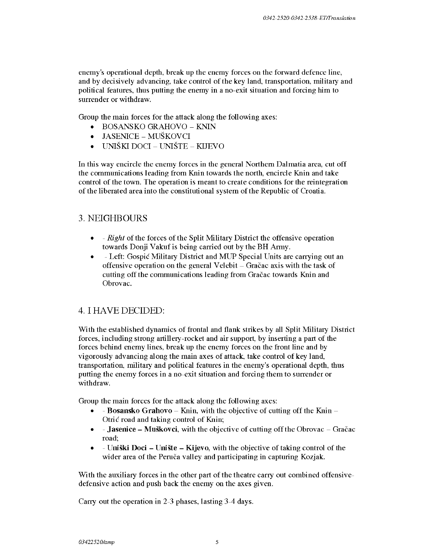enemy's operational depth, break up the enemy forces on the forward defence line, and by decisively advancing, take control of the key land, transportation, military and political features, thus putting the enemy in a no-exit situation and forcing him to surrender or withdraw.

Group the main forces for the attack along the following axes:

- BOSANSKO GRAHOVO KNlN
- JASENICE MUŠKOVCI
- $\bullet$  UNIŠKI DOCI UNIŠTE KLJEVO

In this way encircle the enemy forces in the general Northern Dalmatia area, cut off the communications leading from Knin towards the north, encircle Knin and take control of the town. The operation is meant to create conditions for the reintegration of the liberated area into the constitutional system of the Republic of Croatia.

# 3. NEIGHBOURS

- - *Right* of the forces of the Split Military District the offensive operation towards Donji Vakuf is being carried out by the BH Army.
- - Left: Gospic Military District and MUP Special Units are carrying out an offensive operation on the general V elebit  $-$  Gračac axis with the task of cutting off the communications leading from Gracac towards Knin and Obrovac.

# 4. I HA VE DECIDED:

With the established dynamics of frontal and flank strikes by all Split Military District forces, including strong artillery-rocket and air support, by inserting a part of the forces behind enemy lines, break up the enemy forces on the front line and by vigorously advancing along the main axes of attack, take control of key land, transportation, military and political features in the enemy's operational depth, thus putting the enemy forces in a no-exit situation and forcing them to surrender or withdraw.

Group the main forces for the attack along the following axes:

- - Bosansko Grahovo Knin, with the objective of cutting off the Knin Otric road and taking control of Knin;
- - Jasenice Muškovci, with the objective of cutting off the Obrovac Gračac road;
- - Uni ski Doci Uniste Kijevo, with the objective of taking control of the wider area of the Peruča valley and participating in capturing Kozjak.

With the auxiliary forces in the other part of the theatre carry out combined offensivedefensive action and push back the enemy on the axes given.

Carry out the operation in 2-3 phases, lasting 3-4 days.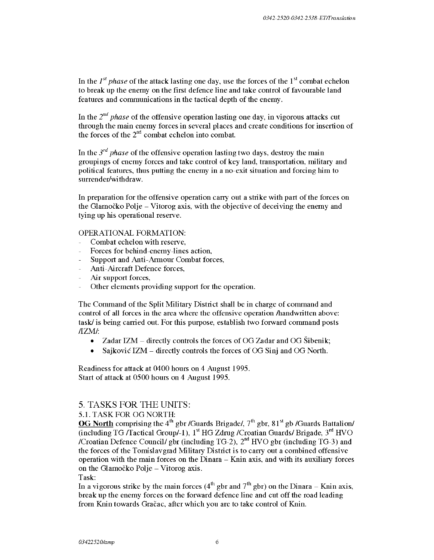In the  $I^{st}$  phase of the attack lasting one day, use the forces of the  $I^{st}$  combat echelon to break up the enemy on the first defence line and take control of favourable land features and communications in the tactical depth of the enemy.

In the *2nd phase* of the offensive operation lasting one day, in vigorous attacks cut through the main enemy forces in several places and create conditions for insertion of the forces of the  $2<sup>nd</sup>$  combat echelon into combat.

In the  $3^{rd}$  *phase* of the offensive operation lasting two days, destroy the main groupings of enemy forces and take control of key land, transportation, military and political features, thus putting the enemy in a no-exit situation and forcing him to surrender/withdraw.

In preparation for the offensive operation carry out a strike with part of the forces on the Glamocko Polje - Vitorog axis, with the objective of deceiving the enemy and tying up his operational reserve.

#### OPERATIONAL FORMATION:

- Combat echelon with reserve,
- Forces for behind-enemy-lines action,  $\overline{a}$
- Support and Anti-Armour Combat forces,
- Anti-Aircraft Defence forces,
- Air support forces,  $\overline{\phantom{0}}$
- $\overline{a}$ Other elements providing support for the operation.

The Command of the Split Military District shall be in charge of command and control of all forces in the area where the offensive operation /handwritten above: task/ is being carried out. For this purpose, establish two forward command posts /IZM/:

- Zadar IZM directly controls the forces of OG Zadar and OG Sibenik;
- Sajković IZM directly controls the forces of OG Sinj and OG North.

Readiness for attack at 0400 hours on 4 August 1995. Start of attack at 0500 hours on 4 August 1995.

#### 5. TASKS FOR THE UNITS:

#### 5.1. TASK FOR OG NORTH:

OG North comprising the  $4<sup>th</sup>$  gbr /Guards Brigade/,  $7<sup>th</sup>$  gbr,  $81<sup>st</sup>$  gb /Guards Battalion/ (including TG /Tactical Group/-1),  $1<sup>st</sup>$  HG Zdrug /Croatian Guards/ Brigade,  $3<sup>rd</sup>$  HVO /Croatian Defence Council/ gbr (including TG-2),  $2<sup>nd</sup>$  HVO gbr (including TG-3) and the forces of the Tomislavgrad Military District is to carry out a combined offensive operation with the main forces on the Dinara - Knin axis, and with its auxiliary forces on the Glamočko Polje - Vitorog axis.

Task:

In a vigorous strike by the main forces  $(4^{th}$  gbr and  $7^{th}$  gbr) on the Dinara – Knin axis, break up the enemy forces on the forward defence line and cut off the road leading from Knin towards Gračac, after which you are to take control of Knin.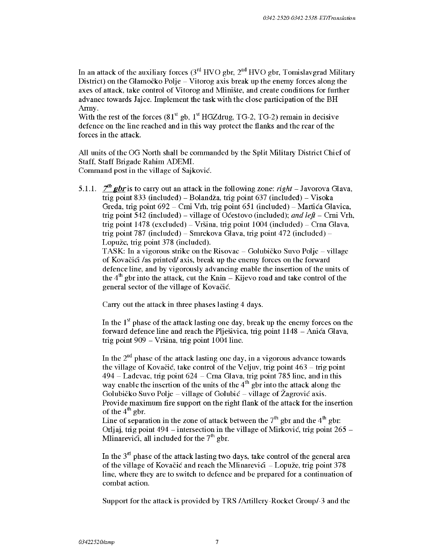In an attack of the auxiliary forces  $3^{rd}$  HVO gbr,  $2^{nd}$  HVO gbr, Tomislavgrad Military District) on the Glamočko Polje – Vitorog axis break up the enemy forces along the axes of attack, take control of Vitorog and Mliniste, and create conditions for further advanec towards Jajce. Implement the task with the close participation of the BH Army.

With the rest of the forces  $(81<sup>st</sup>$  gb,  $1<sup>st</sup>$  HGZdrug, TG-2, TG-2) remain in decisive defence on the line reached and in this way protect the flanks and the rear of the forces in the attack.

All units of the OG North shall be commanded by the Split Military District Chief of Staff, Staff Brigade Rahim ADEMI. Command post in the village of Sajkovic.

5.1.1.  $\mathcal{I}^h$  **gbr** is to carry out an attack in the following zone: *right* – Javorova Glava, trig point 833 (included) – Bolandža, trig point  $637$  (included) – Visoka Greda, trig point 692 - Crni Vrh, trig point 651 (included) - Martića Glavica, trig point 542 (included) - village of Ocestovo (included); *and left* - Crni Vrh, trig point  $1478$  (excluded) – Vršina, trig point  $1004$  (included) – Crna Glava, trig point 787 (included) – Smrekova Glava, trig point  $472$  (included) – Lopuze, trig point 378 (included).

TASK: In a vigorous strike on the Risovac – Golubičko Suvo Polje – village of Kovačići /as printed/ axis, break up the enemy forces on the forward defence line, and by vigorously advancing enable the insertion of the units of the  $4<sup>th</sup>$  gbr into the attack, cut the Knin – Kijevo road and take control of the general sector of the village of Kovacic.

Carry out the attack in three phases lasting 4 days.

In the  $1<sup>st</sup>$  phase of the attack lasting one day, break up the enemy forces on the forward defence line and reach the Pljesivica, trig point 1148 - Anica Glava, trig point 909 - Vrsina, trig point 1004 line.

In the  $2<sup>nd</sup>$  phase of the attack lasting one day, in a vigorous advance towards the village of Kovačić, take control of the Veljuv, trig point  $463 -$  trig point  $494 -$  Ladevac, trig point  $624 -$ Crna Glava, trig point 785 line, and in this way enable the insertion of the units of the  $4<sup>th</sup>$  gbr into the attack along the Golubičko Suvo Polje – village of Golubić – village of Žagrović axis. Provide maximum fire support on the right flank of the attack for the insertion of the  $4^{th}$  gbr. Line of separation in the zone of attack between the  $7<sup>th</sup>$  gbr and the  $4<sup>th</sup>$  gbr:

Orljaj, trig point 494 – intersection in the village of Mirković, trig point  $265$  – Mlinarevici, all included for the  $7<sup>th</sup>$  gbr.

In the  $3<sup>nt</sup>$  phase of the attack lasting two days, take control of the general area of the village of Kovačić and reach the Mlinarevici  $-$  Lopuže, trig point 378 line, where they are to switch to defence and be prepared for a continuation of combat action.

Support for the attack is provided by TRS /Artillery-Rocket Group/-3 and the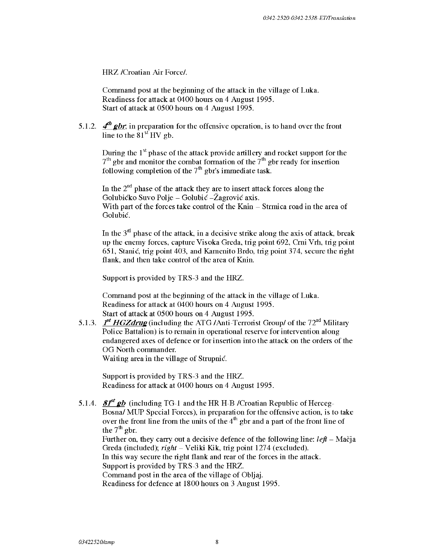HRZ /Croatian Air Force/.

Command post at the beginning of the attack in the village of Luka. Readiness for attack at 0400 hours on 4 August 1995. Start of attack at 0500 hours on 4 August 1995.

5.1.2.  $\boldsymbol{A}^{th}$  **g**br, in preparation for the offensive operation, is to hand over the front line to the  $81<sup>st</sup>$  HV gb.

During the  $1<sup>st</sup>$  phase of the attack provide artillery and rocket support for the  $7<sup>th</sup>$  gbr and monitor the combat formation of the  $7<sup>th</sup>$  gbr ready for insertion following completion of the  $7<sup>th</sup>$  gbr's immediate task.

In the  $2<sup>nd</sup>$  phase of the attack they are to insert attack forces along the Golubićko Suvo Polje – Golubić – Žagrović axis. With part of the forces take control of the Knin – Strmica road in the area of Golubic.

In the  $3<sup>nt</sup>$  phase of the attack, in a decisive strike along the axis of attack, break up the enemy forces, capture Visoka Greda, trig point 692, Crni Vrh, trig point 651, Stanic, trig point 403, and Kamenito Brdo, trig point 37 4, secure the right flank, and then take control of the area of Knin.

Support is provided by TRS-3 and the HRZ.

Command post at the beginning of the attack in the village of Luka. Readiness for attack at 0400 hours on 4 August 1995. Start of attack at 0500 hours on 4 August 1995.

5.1.3. *f<sup>t</sup>* **HGZdrug** (including the ATG /Anti-Terrorist Group/ of the  $72<sup>nd</sup>$  Military Police Battalion) is to remain in operational reserve for intervention along endangered axes of defence or for insertion into the attack on the orders of the OG North commander.

Waiting area in the village of Strupnic.

Support is provided by TRS-3 and the HRZ. Readiness for attack at 0400 hours on 4 August 1995.

5.1.4. **SI<sup>st</sup>** gb (including TG-1 and the HR H-B /Croatian Republic of Herceg-Bosna/ MUP Special Forces), in preparation for the offensive action, is to take over the front line from the units of the  $4<sup>th</sup>$  gbr and a part of the front line of the  $7<sup>th</sup>$  gbr. Further on, they carry out a decisive defence of the following line:  $\ell e \hat{\theta}$  - Mac<sub>ja</sub> Greda (included); *right-* Veliki Kik, trig point 1274 (excluded).

In this way secure the right flank and rear of the forces in the attack.

Support is provided by TRS-3 and the HRZ.

Command post in the area of the village of Obljaj.

Readiness for defence at 1800 hours on 3 August 1995.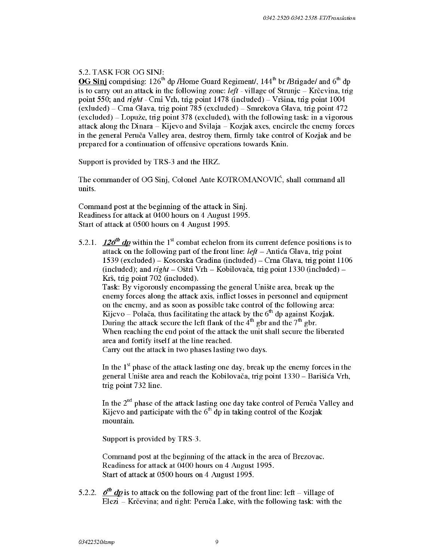## 5.2. TASK FOR OG SINJ:

**OG Sinj** comprising: 126<sup>th</sup> dp /Home Guard Regiment/, 144<sup>th</sup> br /Brigade/ and 6<sup>th</sup> dp is to carry out an attack in the following zone: *left* - village of Strunje – Krčevina, trig point 550; and *right* - Cmi Vrh, trig point 1478 (included) - Vrsina, trig point 1004  $\text{(exluded)} - \text{Crna Glava}, \text{trig point } 785 \text{ (excluded)} - \text{Smrekova Glava}, \text{trig point } 472$  $(excluded)$  – Lopuže, trig point 378 (excluded), with the following task: in a vigorous attack along the Dinara - Kijevo and Svilaja - Kozjak axes, encircle the enemy forces in the general Peruča Valley area, destroy them, firmly take control of Kozjak and be prepared for a continuation of offensive operations towards Knin.

Support is provided by TRS-3 and the HRZ.

The commander of OG Sinj, Colonel Ante KOTROMANOVIC, shall command all units.

Command post at the beginning of the attack in Sinj. Readiness for attack at 0400 hours on 4 August 1995. Start of attack at 0500 hours on 4 August 1995.

5.2.1. **126<sup>th</sup>** dp within the 1<sup>st</sup> combat echelon from its current defence positions is to attack on the following part of the front line:  $left$  - Anti ca Glava, trig point 1539 (excluded) - Kosorska Gradina (included) - Crna Glava, trig point 1106 (included); and *right* - Ostri Vrh - Kobilovaca, trig point 1330 (included) - Krš, trig point 702 (included). Task: By vigorously encompassing the general Uniste area, break up the

enemy forces along the attack axis, inflict losses in personnel and equipment on the enemy, and as soon as possible take control of the following area: Kijevo – Polača, thus facilitating the attack by the  $6<sup>th</sup>$  dp against Kozjak. During the attack secure the left flank of the  $4<sup>th</sup>$  gbr and the  $7<sup>th</sup>$  gbr. When reaching the end point of the attack the unit shall secure the liberated area and fortify itself at the line reached.

Carry out the attack in two phases lasting two days.

In the  $1<sup>st</sup>$  phase of the attack lasting one day, break up the enemy forces in the general Uniste area and reach the Kobilovaca, trig point 1330 - Barisica Vrh, trig point 732 line.

In the  $2<sup>nd</sup>$  phase of the attack lasting one day take control of Peruča Valley and Kijevo and participate with the  $6<sup>th</sup>$  dp in taking control of the Kozjak mountain.

Support is provided by TRS-3.

Command post at the beginning of the attack in the area of Brezovac. Readiness for attack at 0400 hours on 4 August 1995. Start of attack at 0500 hours on 4 August 1995.

5.2.2.  $\boldsymbol{\delta}^{\text{th}}$  *dp* is to attack on the following part of the front line: left – village of Elezi – Krčevina; and right: Peruča Lake, with the following task: with the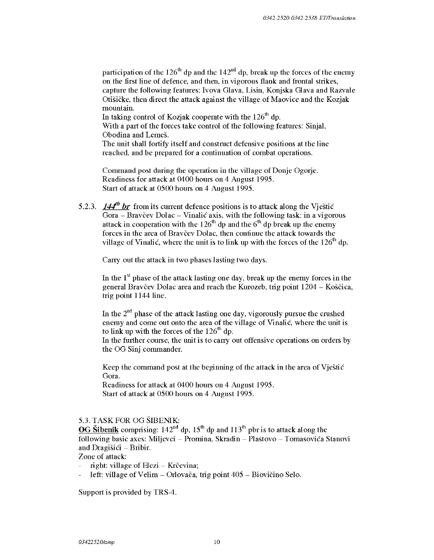participation of the 126<sup>th</sup> dp and the 142<sup>nd</sup> dp, break up the forces of the enemy on the first line of defence, and then, in vigorous flank and frontal strikes, capture the following features: Iv ova Glava, Lisin, Konjska Glava and Razvale Otisicke, then direct the attack against the village of Maovice and the Kozjak mountain.

In taking control of Kozjak cooperate with the  $126<sup>th</sup>$  dp.

With a part of the forces take control of the following features: Sinjal, Obodina and Lemeš.

The unit shall fortify itself and construct defensive positions at the line reached, and be prepared for a continuation of combat operations.

Command post during the operation in the village of Donje Ogorje. Readiness for attack at 0400 hours on 4 August 1995. Start of attack at 0500 hours on 4 August 1995.

5.2.3.  $144<sup>th</sup>$  *br* from its current defence positions is to attack along the V jestic Gora - Bravčev Dolac - Vinalić axis, with the following task: in a vigorous attack in cooperation with the  $126<sup>th</sup>$  dp and the  $6<sup>th</sup>$  dp break up the enemy forces in the area of Bravčev Dolac, then continue the attack towards the village of Vinalić, where the unit is to link up with the forces of the  $126<sup>th</sup>$  dp.

Carry out the attack in two phases lasting two days.

In the  $1<sup>st</sup>$  phase of the attack lasting one day, break up the enemy forces in the general Bravčev Dolac area and reach the Kurozeb, trig point  $1204 - K$ oščica, trig point 1144 line.

In the  $2<sup>nd</sup>$  phase of the attack lasting one day, vigorously pursue the crushed enemy and come out onto the area of the village of Vinalic, where the unit is to link up with the forces of the  $126<sup>th</sup>$  dp.

In the further course, the unit is to carry out offensive operations on orders by the OG Sinj commander.

Keep the command post at the beginning of the attack in the area of Vjestic Gora.

Readiness for attack at 0400 hours on 4 August 1995. Start of attack at 0500 hours on 4 August 1995.

#### 5.3. TASK FOR OG SIBENIK:

OG Sibenik comprising:  $142<sup>nd</sup>$  dp,  $15<sup>th</sup>$  dp and  $113<sup>th</sup>$  pbr is to attack along the following basic axes: Miljevci - Promina, Skradin - Plastovo - Tomasovica Stanovi and Dragiši $\acute{c}i$  – Bribir.

Zone of attack:

- right: village of  $E$ lezi Krčevina;
- left: village of Velim Orlovača, trig point 405 Biovičino Selo.

Support is provided by TRS-4.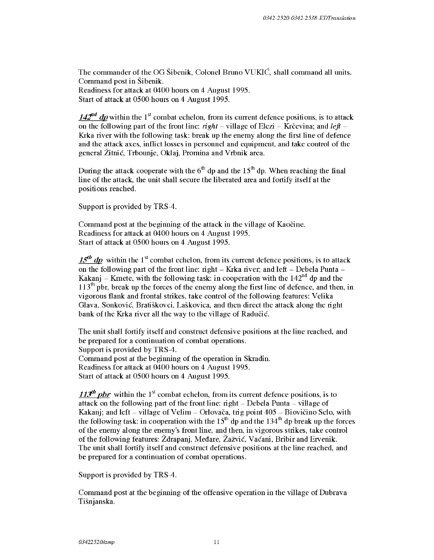The commander of the OG Sibenik, Colonel Bruno VUKIC, shall command all units. Command post in Sibenik. Readiness for attack at 0400 hours on 4 August 1995. Start of attack at 0500 hours on 4 August 1995.

142<sup>nd</sup> dp within the 1<sup>st</sup> combat echelon, from its current defence positions, is to attack on the following part of the front line:  $right -$  village of Elezi – Krčevina; and *left* – Krka river with the following task: break up the enemy along the first line of defence and the attack axes, inflict losses in personnel and equipment, and take control of the general Zitnic, Trbounje, Oklaj, Promina and Vrbnik area.

During the attack cooperate with the  $6<sup>th</sup>$  dp and the  $15<sup>th</sup>$  dp. When reaching the final line of the attack, the unit shall secure the liberated area and fortify itself at the positions reached.

Support is provided by TRS-4.

Command post at the beginning of the attack in the village of Kaocine. Readiness for attack at 0400 hours on 4 August 1995. Start of attack at 0500 hours on 4 August 1995.

 $15<sup>th</sup>$  dp within the 1<sup>st</sup> combat echelon, from its current defence positions, is to attack on the following part of the front line: right  $-$  Krka river; and left  $-$  Debela Punta  $-$ Kakanj – Krnete, with the following task: in cooperation with the  $142<sup>nd</sup>$  dp and the  $113<sup>th</sup>$  pbr, break up the forces of the enemy along the first line of defence, and then, in vigorous flank and frontal strikes, take control of the following features: Velika Glava, Sonkovic, Bratiskovci, Laskovica, and then direct the attack along the right bank of the Krka river all the way to the village of Radučić.

The unit shall fortify itself and construct defensive positions at the line reached, and be prepared for a continuation of combat operations. Support is provided by TRS-4. Command post at the beginning of the operation in Skradin. Readiness for attack at 0400 hours on 4 August 1995. Start of attack at 0500 hours on 4 August 1995.

113<sup>th</sup> pbr within the 1<sup>st</sup> combat echelon, from its current defence positions, is to attack on the following part of the front line:  $right - Debela$  Punta  $-$  village of Kakanj; and left  $-$  village of Velim  $-$  Orlovača, trig point  $405 - Bi$ ovičino Selo, with the following task: in cooperation with the  $15<sup>th</sup>$  dp and the  $134<sup>th</sup>$  dp break up the forces of the enemy along the enemy's front line, and then, in vigorous strikes, take control of the following features: Zdrapanj, Medare, ZaZvic, Vacani, Bribir and Ervenik. The unit shall fortify itself and construct defensive positions at the line reached, and be prepared for a continuation of combat operations.

Support is provided by TRS-4.

Command post at the beginning of the offensive operation in the village of Dubrava Tisnjanska.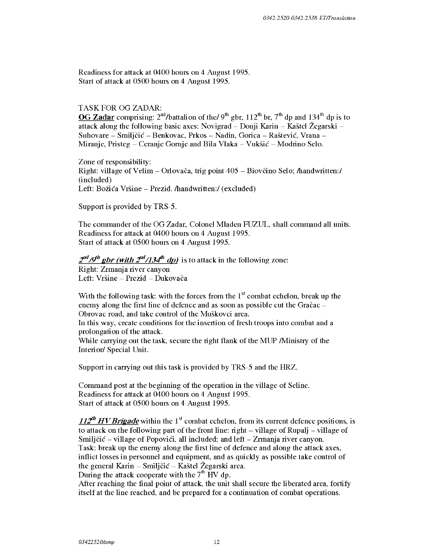Readiness for attack at 0400 hours on 4 August 1995. Start of attack at 0500 hours on 4 August 1995.

#### TASK FOR OG ZADAR:

OG Zadar comprising:  $2<sup>nd</sup>/b$ attalion of the/9<sup>th</sup> gbr,  $112<sup>th</sup>$  br,  $7<sup>th</sup>$  dp and  $134<sup>th</sup>$  dp is to attack along the following basic axes: Novigrad - Donji Karin - Kastel Zegarski - Suhovare – Smiljčić – Benkovac, Prkos – Nadin, Gorica – Raštević, Vrana – Miranje, Pristeg – Ceranje Gornje and Bila Vlaka – Vukšić – Modrino Selo.

Zone of responsibility: Right: village of Velim – Orlovača, trig point  $405$  – Biovčino Selo; *handwritten:/* (included) Left: Božića Vršine – Prezid. /handwritten:/ (excluded)

Support is provided by TRS-5.

The commander of the OG Zadar, Colonel Mladen FUZUL, shall command all units. Readiness for attack at 0400 hours on 4 August 1995. Start of attack at 0500 hours on 4 August 1995.

# $2<sup>nd</sup>/9<sup>th</sup>$  gbr (with  $2<sup>nd</sup>/134<sup>th</sup>$  dp) is to attack in the following zone:

Right: Zrmanja river canyon Left: Vršine – Prezid – Dukovača

With the following task: with the forces from the  $1<sup>st</sup>$  combat echelon, break up the enemy along the first line of defence and as soon as possible cut the Gračac  $-$ Obrovac road, and take control of the Muskovci area.

In this way, create conditions for the insertion of fresh troops into combat and a prolongation of the attack.

While carrying out the task, secure the right flank of the MUP /Ministry of the Interior/ Special Unit.

Support in carrying out this task is provided by TRS-5 and the HRZ.

Command post at the beginning of the operation in the village of Seline. Readiness for attack at 0400 hours on 4 August 1995. Start of attack at 0500 hours on 4 August 1995.

112<sup>th</sup> HV Brigade within the 1<sup>st</sup> combat echelon, from its current defence positions, is to attack on the following part of the front line:  $\dot{\text{right}} - \text{village}$  of Rupali – village of Smiljčić – village of Popovići, all included; and left – Zrmanja river canyon. Task: break up the enemy along the first line of defence and along the attack axes, inflict losses in personnel and equipment, and as quickly as possible take control of the general Karin - Smiljčić - Kaštel Žegarski area. During the attack cooperate with the 7<sup>th</sup> HV dp.

After reaching the final point of attack, the unit shall secure the liberated area, fortify itself at the line reached, and be prepared for a continuation of combat operations.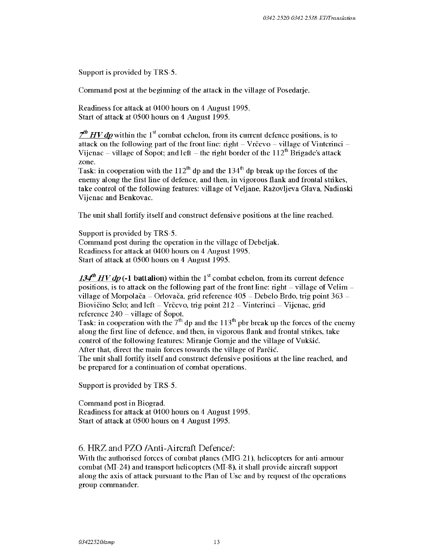Support is provided by TRS-5.

Command post at the beginning of the attack in the village of Posedarje.

Readiness for attack at 0400 hours on 4 August 1995. Start of attack at 0500 hours on 4 August 1995.

 $\frac{7}{10}$  *HV dp* within the 1<sup>st</sup> combat echelon, from its current defence positions, is to attack on the following part of the front line: right  $-$  Vrcevo  $-$  village of Vinterinci  $-$ Vijenac – village of Šopot; and left – the right border of the  $112^{th}$  Brigade's attack zone.

Task: in cooperation with the  $112<sup>th</sup>$  dp and the  $134<sup>th</sup>$  dp break up the forces of the enemy along the first line of defence, and then, in vigorous flank and frontal strikes, take control of the following features: village of Veljane, Ražovljeva Glava, Nadinski Vijenac and Benkovac.

The unit shall fortify itself and construct defensive positions at the line reached.

Support is provided by TRS-5. Command post during the operation in the village of Debeljak. Readiness for attack at 0400 hours on 4 August 1995. Start of attack at 0500 hours on 4 August 1995.

134<sup>th</sup> HV dp (-1 battalion) within the 1<sup>st</sup> combat echelon, from its current defence positions, is to attack on the following part of the front line: right  $-$  village of Velim  $$ village of Morpolača – Orlovača, grid reference  $405$  – Debelo Brdo, trig point  $363$  – Biovičino Selo; and left  $-$  Vrčevo, trig point 212  $-$  Vinterinci  $-$  Vijenac, grid reference  $240 - \text{village of } \text{Sopot.}$ 

Task: in cooperation with the  $7<sup>th</sup>$  dp and the 113<sup>th</sup> pbr break up the forces of the enemy along the first line of defence, and then, in vigorous flank and frontal strikes, take control of the following features: Miranje Gomje and the village of Vuksic. After that, direct the main forces towards the village of Parčić.

The unit shall fortify itself and construct defensive positions at the line reached, and be prepared for a continuation of combat operations.

Support is provided by TRS-5.

Command post in Biograd. Readiness for attack at 0400 hours on 4 August 1995. Start of attack at 0500 hours on 4 August 1995.

#### 6. HRZ and PZO /Anti-Aircraft Defence/:

With the authorised forces of combat planes (MIG-21), helicopters for anti-armour combat (MI-24) and transport helicopters (MI-8), it shall provide aircraft support along the axis of attack pursuant to the Plan of Use and by request of the operations group commander.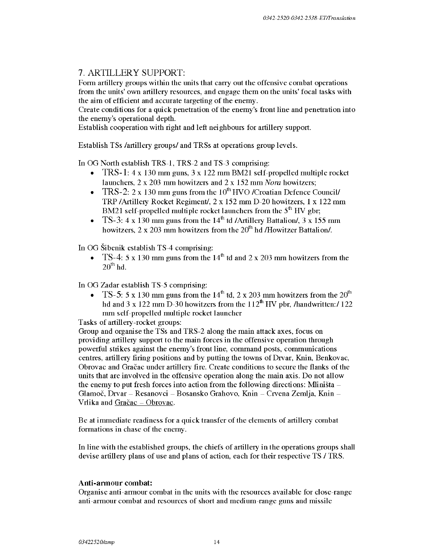# 7. ARTILLERY SUPPORT:

Form artillery groups within the units that carry out the offensive combat operations from the units' own artillery resources, and engage them on the units' focal tasks with the aim of efficient and accurate targeting of the enemy.

Create conditions for a quick penetration of the enemy's front line and penetration into the enemy's operational depth.

Establish cooperation with right and left neighbours for artillery support.

Establish TSs /artillery groups/ and TRSs at operations group levels.

In OG North establish TRS-1, TRS-2 and TS-3 comprising:

- TRS-1: 4 x 130 mm guns, 3 x 122 mm BM21 self-propelled multiple rocket launchers, 2 x 203 mm howitzers and 2 x 152 mm *Nora* howitzers;
- TRS-2:  $2 \times 130$  mm guns from the  $10^{th}$  HVO /Croatian Defence Council/ TRP /Artillery Rocket Regiment/, 2 x 152 mm D-20 howitzers, 1 x 122 mm BM21 self-propelled multiple rocket launchers from the  $5<sup>th</sup>$  HV gbr;
- TS-3: 4 x 130 mm guns from the  $14<sup>th</sup>$  td /Artillery Battalion/, 3 x 155 mm howitzers,  $2 \times 203$  mm howitzers from the  $20<sup>th</sup>$  hd /Howitzer Battalion/.

In OG Sibenik establish TS-4 comprising:

• TS-4: 5 x 130 mm guns from the  $14<sup>th</sup>$  td and 2 x 203 mm howitzers from the  $20^{th}$  hd.

In OG Zadar establish TS-5 comprising:

• TS-5: 5 x 130 mm guns from the  $14<sup>th</sup>$  td, 2 x 203 mm howitzers from the 20<sup>th</sup> hd and 3 x 122 mm D-30 howitzers from the  $112<sup>th</sup>$  HV pbr, /handwritten:/ 122 mm self-propelled multiple rocket launcher

Tasks of artillery-rocket groups:

Group and organise the TSs and TRS-2 along the main attack axes, focus on providing artillery support to the main forces in the offensive operation through powerful strikes against the enemy's front line, command posts, communications centres, artillery firing positions and by putting the towns of Drvar, Knin, Benkovac, Obrovac and Gracac under artillery fire. Create conditions to secure the flanks of the units that are involved in the offensive operation along the main axis. Do not allow the enemy to put fresh forces into action from the following directions: Mliništa  $-$ Glamoč, Drvar - Resanovci - Bosansko Grahovo, Knin - Crvena Zemlja, Knin -Vrlika and Gračac - Obrovac.

Be at immediate readiness for a quick transfer of the elements of artillery combat formations in chase of the enemy.

In line with the established groups, the chiefs of artillery in the operations groups shall devise artillery plans of use and plans of action, each for their respective TS / TRS.

### Anti-armour combat:

Organise anti-armour combat in the units with the resources available for close-range anti-armour combat and resources of short and medium-range guns and missile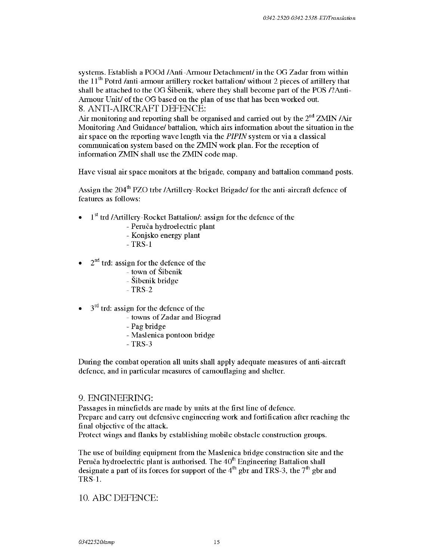systems. Establish a POOd /Anti-Armour Detachment/ in the OG Zadar from within the  $11<sup>th</sup>$  Potrd /anti-armour artillery rocket battalion/ without 2 pieces of artillery that shall be attached to the OG Sibenik, where they shall become part of the POS /?Anti-Armour Unit/ of the OG based on the plan of use that has been worked out. 8. ANTI-AIRCRAFT DEFENCE:

Air monitoring and reporting shall be organised and carried out by the  $2<sup>nd</sup> ZMIN/Air$ Monitoring And Guidance/ battalion, which airs information about the situation in the air space on the reporting wave length via the *PIPIN* system or via a classical communication system based on the ZMIN work plan. For the reception of information ZMIN shall use the ZMIN code map.

Have visual air space monitors at the brigade, company and battalion command posts.

Assign the 204<sup>th</sup> PZO trbr /Artillery-Rocket Brigade/ for the anti-aircraft defence of features as follows:

- <sup>1st</sup> trd /Artillery-Rocket Battalion/: assign for the defence of the
	- Peruča hydroelectric plant
	- Konjsko energy plant
	- $-$  TRS-1
- $2<sup>nd</sup>$  trd: assign for the defence of the
	- town of Sibenik
	- Sibenik bridge
	- $-$ TRS $-2$
- $3<sup>rd</sup>$  trd: assign for the defence of the
	- towns of Zadar and Biograd
	- Pag bridge
	- Maslenica pontoon bridge
	- $TRS-3$

During the combat operation all units shall apply adequate measures of anti-aircraft defence, and in particular measures of camouflaging and shelter.

### 9. ENGINEERING:

Passages in minefields are made by units at the first line of defence. Prepare and carry out defensive engineering work and fortification after reaching the final objective of the attack.

Protect wings and flanks by establishing mobile obstacle construction groups.

The use of building equipment from the Maslenica bridge construction site and the Peruča hydroelectric plant is authorised. The  $40<sup>th</sup>$  Engineering Battalion shall designate a part of its forces for support of the  $4<sup>th</sup>$  gbr and TRS-3, the  $7<sup>th</sup>$  gbr and TRS-1.

#### 10. ABC DEFENCE: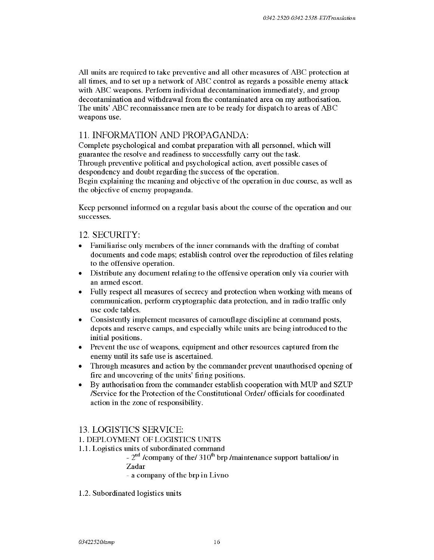All units are required to take preventive and all other measures of ABC protection at all times, and to set up a network of ABC control as regards a possible enemy attack with ABC weapons. Perform individual decontamination immediately, and group decontamination and withdrawal from the contaminated area on my authorisation. The units' ABC reconnaissance men are to be ready for dispatch to areas of ABC weapons use.

# **11.** INFORMATION AND PROPAGANDA:

Complete psychological and combat preparation with all personnel, which will guarantee the resolve and readiness to successfully carry out the task. Through preventive political and psychological action, avert possible cases of despondency and doubt regarding the success of the operation.

Begin explaining the meaning and objective of the operation in due course, as well as the objective of enemy propaganda.

Keep personnel informed on a regular basis about the course of the operation and our successes.

## 12. SECURITY:

- Familiarise only members of the inner commands with the drafting of combat documents and code maps; establish control over the reproduction of files relating to the offensive operation.
- Distribute any document relating to the offensive operation only via courier with an armed escort.
- Fully respect all measures of secrecy and protection when working with means of communication, perform cryptographic data protection, and in radio traffic only use code tables.
- Consistently implement measures of camouflage discipline at command posts, depots and reserve camps, and especially while units are being introduced to the initial positions.
- Prevent the use of weapons, equipment and other resources captured from the enemy until its safe use is ascertained.
- Through measures and action by the commander prevent unauthorised opening of fire and uncovering of the units' firing positions.
- By authorisation from the commander establish cooperation with MUP and SZUP /Service for the Protection of the Constitutional Order/ officials for coordinated action in the zone of responsibility.

## 13. LOGISTICS SERVICE:

### **1.** DEPLOYMENT OF LOGISTICS UNITS

**1.1.** Logistics units of subordinated command

-  $2<sup>nd</sup>$  /company of the/ 310<sup>th</sup> brp /maintenance support battalion/ in Zadar

- a company of the brp in Livno

1.2. Subordinated logistics units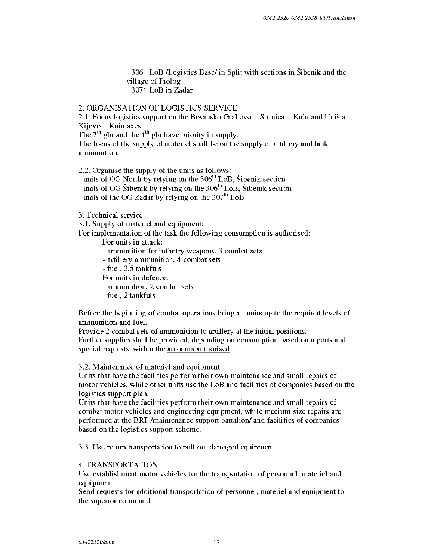- 306<sup>th</sup> LoB /Logistics Base/ in Split with sections in Šibenik and the village of Prolog  $-307$ <sup>th</sup> LoB in Zadar

## 2. ORGANISATION OF LOGISTICS SERVICE

2.1. Focus logistics support on the Bosansko Grahovo – Strmica – Knin and Uništa – Kijevo - Knin axes.

The  $7<sup>th</sup>$  gbr and the 4<sup>th</sup> gbr have priority in supply.

The focus of the supply of materiel shall be on the supply of artillery and tank ammunition.

2.2. Organise the supply of the units as follows:

- units of OG North by relying on the  $306<sup>th</sup>$  LoB, Šibenik section

- units of OG Šibenik by relying on the  $306^{\text{th}}$  LoB, Šibenik section

- units of the OG Zadar by relying on the  $307<sup>th</sup>$  LoB

3. Technical service

3.1. Supply of materiel and equipment:

For implementation of the task the following consumption is authorised:

For units in attack:

- ammunition for infantry weapons, 3 combat sets
- artillery ammunition, 4 combat sets
- fuel , 2.5 tankfuls
- For units in defence:
- ammunition, 2 combat sets
- fuel, 2 tankfuls

Before the beginning of combat operations bring all units up to the required levels of ammunition and fuel.

Provide 2 combat sets of ammunition to artillery at the initial positions. Further supplies shall be provided, depending on consumption based on reports and special requests, within the amounts authorised.

3.2. Maintenance of materiel and equipment

Units that have the facilities perform their own maintenance and small repairs of motor vehicles, while other units use the LoB and facilities of companies based on the logistics support plan.

Units that have the facilities perform their own maintenance and small repairs of combat motor vehicles and engineering equipment, while medium-size repairs are performed at the BRP /maintenance support battalion/ and facilities of companies based on the logistics support scheme.

3.3. Use return transportation to pull out damaged equipment

#### 4. TRANSPORTATION

Use establishment motor vehicles for the transportation of personnel, materiel and equipment.

Send requests for additional transportation of personnel, materiel and equipment to the superior command.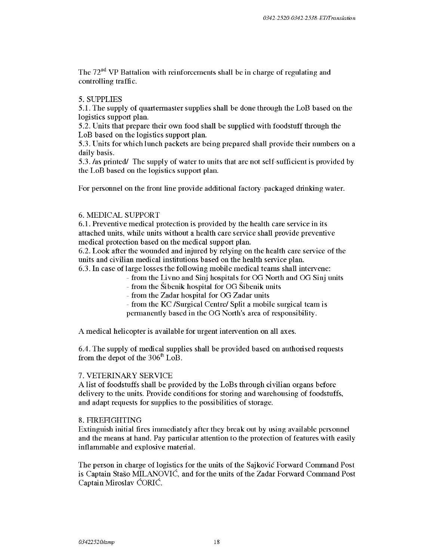The  $72<sup>nd</sup>$  VP Battalion with reinforcements shall be in charge of regulating and controlling traffic.

#### 5. SUPPLIES

5.1. The supply of quartermaster supplies shall be done through the LoB based on the logistics support plan.

5.2. Units that prepare their own food shall be supplied with foodstuff through the LoB based on the logistics support plan.

5.3. Units for which lunch packets are being prepared shall provide their numbers on a daily basis.

5.3. /as printed/ The supply of water to units that are not self-sufficient is provided by the LoB based on the logistics support plan.

For personnel on the front line provide additional factory-packaged drinking water.

#### 6. MEDICAL SUPPORT

6.1. Preventive medical protection is provided by the health care service in its attached units, while units without a health care service shall provide preventive medical protection based on the medical support plan.

6.2. Look after the wounded and injured by relying on the health care service of the units and civilian medical institutions based on the health service plan.

6.3. In case oflarge losses the following mobile medical teams shall intervene:

- from the Livno and Sinj hospitals for OG North and OG Sinj units
	- from the Sibenik hospital for OG Sibenik units

- from the Zadar hospital for OG Zadar units

- from the KC /Surgical Centre/ Split a mobile surgical team is

permanently based in the OG North's area of responsibility.

A medical helicopter is available for urgent intervention on all axes.

6.4. The supply of medical supplies shall be provided based on authorised requests from the depot of the  $306<sup>th</sup>$  LoB.

#### 7. VETERINARY SERVICE

A list of foodstuffs shall be provided by the LoBs through civilian organs before delivery to the units. Provide conditions for storing and warehousing of foodstuffs, and adapt requests for supplies to the possibilities of storage.

#### 8. FIREFIGHTING

Extinguish initial fires immediately after they break out by using available personnel and the means at hand. Pay particular attention to the protection of features with easily inflammable and explosive material.

The person in charge of logistics for the units of the Sajkovic Forward Command Post is Captain Staso MILANOVIC, and forthe units of the Zadar Forward Command Post Captain Miroslav CORIC.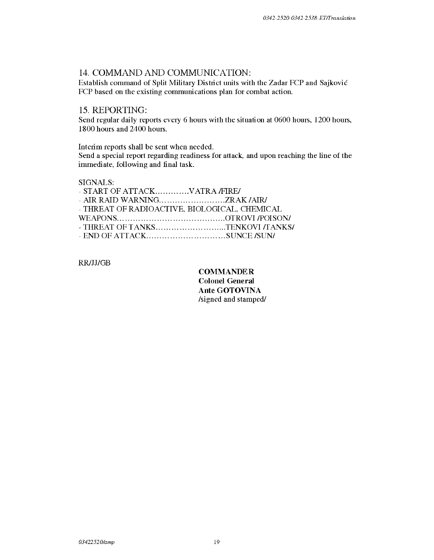## 14. COMMAND AND COMMUNICATION:

Establish command of Split Military District units with the Zadar FCP and Sajkovic FCP based on the existing communications plan for combat action.

## 15. REPORTING:

Send regular daily reports every 6 hours with the situation at 0600 hours, 1200 hours, 1800 hours and 2400 hours.

Interim reports shall be sent when needed.

Send a special report regarding readiness for attack, and upon reaching the line of the immediate, following and final task.

### SIGNALS:

| - START OF ATTACKVATRA /FIRE/                 |  |
|-----------------------------------------------|--|
| - AIR RAID WARNINGZRAK /AIR/                  |  |
| - THREAT OF RADIOACTIVE, BIOLOGICAL, CHEMICAL |  |
|                                               |  |
| - THREAT OF TANKSTENKOVI /TANKS/              |  |
|                                               |  |

RR/JJ/GB

**COMMANDER** Colonel General Ante GOTOVINA /signed and stamped/